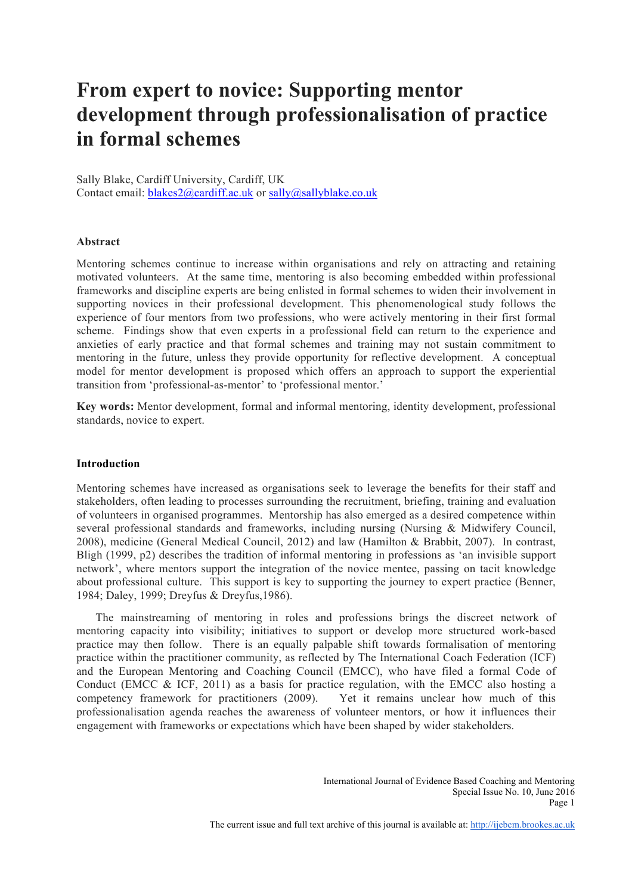# **From expert to novice: Supporting mentor development through professionalisation of practice in formal schemes**

Sally Blake, Cardiff University, Cardiff, UK Contact email: blakes2@cardiff.ac.uk or sally@sallyblake.co.uk

# **Abstract**

Mentoring schemes continue to increase within organisations and rely on attracting and retaining motivated volunteers. At the same time, mentoring is also becoming embedded within professional frameworks and discipline experts are being enlisted in formal schemes to widen their involvement in supporting novices in their professional development. This phenomenological study follows the experience of four mentors from two professions, who were actively mentoring in their first formal scheme. Findings show that even experts in a professional field can return to the experience and anxieties of early practice and that formal schemes and training may not sustain commitment to mentoring in the future, unless they provide opportunity for reflective development. A conceptual model for mentor development is proposed which offers an approach to support the experiential transition from 'professional-as-mentor' to 'professional mentor.'

**Key words:** Mentor development, formal and informal mentoring, identity development, professional standards, novice to expert.

# **Introduction**

Mentoring schemes have increased as organisations seek to leverage the benefits for their staff and stakeholders, often leading to processes surrounding the recruitment, briefing, training and evaluation of volunteers in organised programmes. Mentorship has also emerged as a desired competence within several professional standards and frameworks, including nursing (Nursing & Midwifery Council, 2008), medicine (General Medical Council, 2012) and law (Hamilton & Brabbit, 2007). In contrast, Bligh (1999, p2) describes the tradition of informal mentoring in professions as 'an invisible support network', where mentors support the integration of the novice mentee, passing on tacit knowledge about professional culture. This support is key to supporting the journey to expert practice (Benner, 1984; Daley, 1999; Dreyfus & Dreyfus,1986).

The mainstreaming of mentoring in roles and professions brings the discreet network of mentoring capacity into visibility; initiatives to support or develop more structured work-based practice may then follow. There is an equally palpable shift towards formalisation of mentoring practice within the practitioner community, as reflected by The International Coach Federation (ICF) and the European Mentoring and Coaching Council (EMCC), who have filed a formal Code of Conduct (EMCC & ICF, 2011) as a basis for practice regulation, with the EMCC also hosting a competency framework for practitioners (2009). Yet it remains unclear how much of this professionalisation agenda reaches the awareness of volunteer mentors, or how it influences their engagement with frameworks or expectations which have been shaped by wider stakeholders.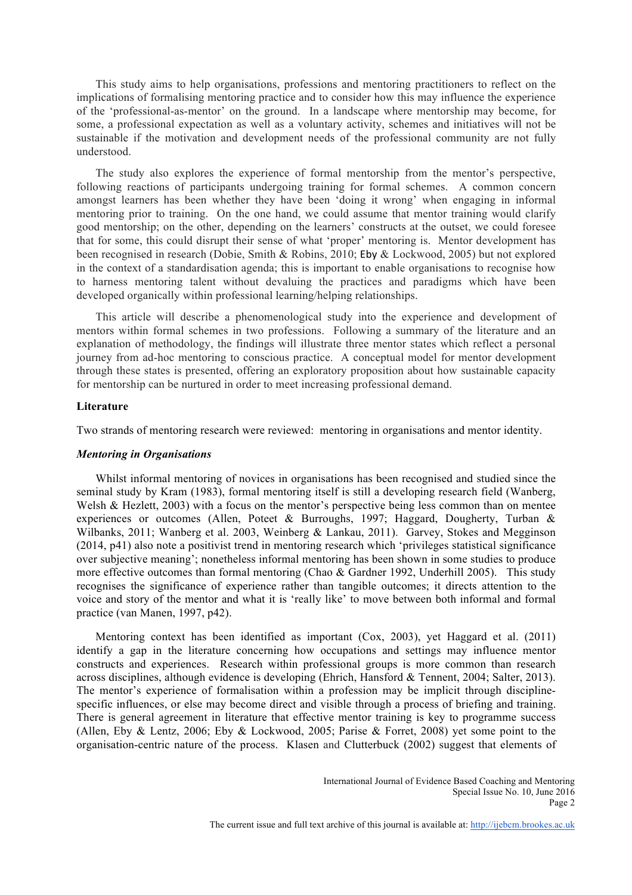This study aims to help organisations, professions and mentoring practitioners to reflect on the implications of formalising mentoring practice and to consider how this may influence the experience of the 'professional-as-mentor' on the ground. In a landscape where mentorship may become, for some, a professional expectation as well as a voluntary activity, schemes and initiatives will not be sustainable if the motivation and development needs of the professional community are not fully understood.

The study also explores the experience of formal mentorship from the mentor's perspective, following reactions of participants undergoing training for formal schemes. A common concern amongst learners has been whether they have been 'doing it wrong' when engaging in informal mentoring prior to training. On the one hand, we could assume that mentor training would clarify good mentorship; on the other, depending on the learners' constructs at the outset, we could foresee that for some, this could disrupt their sense of what 'proper' mentoring is. Mentor development has been recognised in research (Dobie, Smith & Robins, 2010; Eby & Lockwood, 2005) but not explored in the context of a standardisation agenda; this is important to enable organisations to recognise how to harness mentoring talent without devaluing the practices and paradigms which have been developed organically within professional learning/helping relationships.

This article will describe a phenomenological study into the experience and development of mentors within formal schemes in two professions. Following a summary of the literature and an explanation of methodology, the findings will illustrate three mentor states which reflect a personal journey from ad-hoc mentoring to conscious practice. A conceptual model for mentor development through these states is presented, offering an exploratory proposition about how sustainable capacity for mentorship can be nurtured in order to meet increasing professional demand.

#### **Literature**

Two strands of mentoring research were reviewed: mentoring in organisations and mentor identity.

#### *Mentoring in Organisations*

Whilst informal mentoring of novices in organisations has been recognised and studied since the seminal study by Kram (1983), formal mentoring itself is still a developing research field (Wanberg, Welsh & Hezlett, 2003) with a focus on the mentor's perspective being less common than on mentee experiences or outcomes (Allen, Poteet & Burroughs, 1997; Haggard, Dougherty, Turban & Wilbanks, 2011; Wanberg et al. 2003, Weinberg & Lankau, 2011). Garvey, Stokes and Megginson (2014, p41) also note a positivist trend in mentoring research which 'privileges statistical significance over subjective meaning'; nonetheless informal mentoring has been shown in some studies to produce more effective outcomes than formal mentoring (Chao & Gardner 1992, Underhill 2005). This study recognises the significance of experience rather than tangible outcomes; it directs attention to the voice and story of the mentor and what it is 'really like' to move between both informal and formal practice (van Manen, 1997, p42).

Mentoring context has been identified as important (Cox, 2003), yet Haggard et al. (2011) identify a gap in the literature concerning how occupations and settings may influence mentor constructs and experiences. Research within professional groups is more common than research across disciplines, although evidence is developing (Ehrich, Hansford & Tennent, 2004; Salter, 2013). The mentor's experience of formalisation within a profession may be implicit through disciplinespecific influences, or else may become direct and visible through a process of briefing and training. There is general agreement in literature that effective mentor training is key to programme success (Allen, Eby & Lentz, 2006; Eby & Lockwood, 2005; Parise & Forret, 2008) yet some point to the organisation-centric nature of the process. Klasen and Clutterbuck (2002) suggest that elements of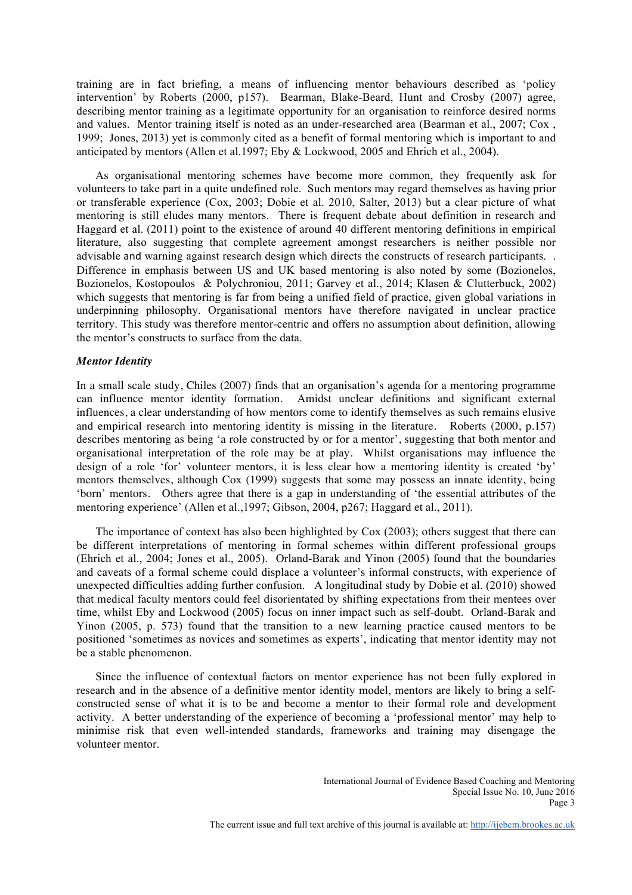training are in fact briefing, a means of influencing mentor behaviours described as 'policy intervention' by Roberts (2000, p157). Bearman, Blake-Beard, Hunt and Crosby (2007) agree, describing mentor training as a legitimate opportunity for an organisation to reinforce desired norms and values. Mentor training itself is noted as an under-researched area (Bearman et al., 2007; Cox , 1999; Jones, 2013) yet is commonly cited as a benefit of formal mentoring which is important to and anticipated by mentors (Allen et al.1997; Eby & Lockwood, 2005 and Ehrich et al., 2004).

As organisational mentoring schemes have become more common, they frequently ask for volunteers to take part in a quite undefined role. Such mentors may regard themselves as having prior or transferable experience (Cox, 2003; Dobie et al. 2010, Salter, 2013) but a clear picture of what mentoring is still eludes many mentors. There is frequent debate about definition in research and Haggard et al. (2011) point to the existence of around 40 different mentoring definitions in empirical literature, also suggesting that complete agreement amongst researchers is neither possible nor advisable and warning against research design which directs the constructs of research participants. Difference in emphasis between US and UK based mentoring is also noted by some (Bozionelos, Bozionelos, Kostopoulos & Polychroniou, 2011; Garvey et al., 2014; Klasen & Clutterbuck, 2002) which suggests that mentoring is far from being a unified field of practice, given global variations in underpinning philosophy. Organisational mentors have therefore navigated in unclear practice territory. This study was therefore mentor-centric and offers no assumption about definition, allowing the mentor's constructs to surface from the data.

#### *Mentor Identity*

In a small scale study, Chiles (2007) finds that an organisation's agenda for a mentoring programme can influence mentor identity formation. Amidst unclear definitions and significant external influences, a clear understanding of how mentors come to identify themselves as such remains elusive and empirical research into mentoring identity is missing in the literature. Roberts (2000, p.157) describes mentoring as being 'a role constructed by or for a mentor', suggesting that both mentor and organisational interpretation of the role may be at play. Whilst organisations may influence the design of a role 'for' volunteer mentors, it is less clear how a mentoring identity is created 'by' mentors themselves, although Cox (1999) suggests that some may possess an innate identity, being 'born' mentors. Others agree that there is a gap in understanding of 'the essential attributes of the mentoring experience' (Allen et al.,1997; Gibson, 2004, p267; Haggard et al., 2011).

The importance of context has also been highlighted by Cox (2003); others suggest that there can be different interpretations of mentoring in formal schemes within different professional groups (Ehrich et al., 2004; Jones et al., 2005). Orland-Barak and Yinon (2005) found that the boundaries and caveats of a formal scheme could displace a volunteer's informal constructs, with experience of unexpected difficulties adding further confusion. A longitudinal study by Dobie et al. (2010) showed that medical faculty mentors could feel disorientated by shifting expectations from their mentees over time, whilst Eby and Lockwood (2005) focus on inner impact such as self-doubt. Orland-Barak and Yinon (2005, p. 573) found that the transition to a new learning practice caused mentors to be positioned 'sometimes as novices and sometimes as experts', indicating that mentor identity may not be a stable phenomenon.

Since the influence of contextual factors on mentor experience has not been fully explored in research and in the absence of a definitive mentor identity model, mentors are likely to bring a selfconstructed sense of what it is to be and become a mentor to their formal role and development activity. A better understanding of the experience of becoming a 'professional mentor' may help to minimise risk that even well-intended standards, frameworks and training may disengage the volunteer mentor.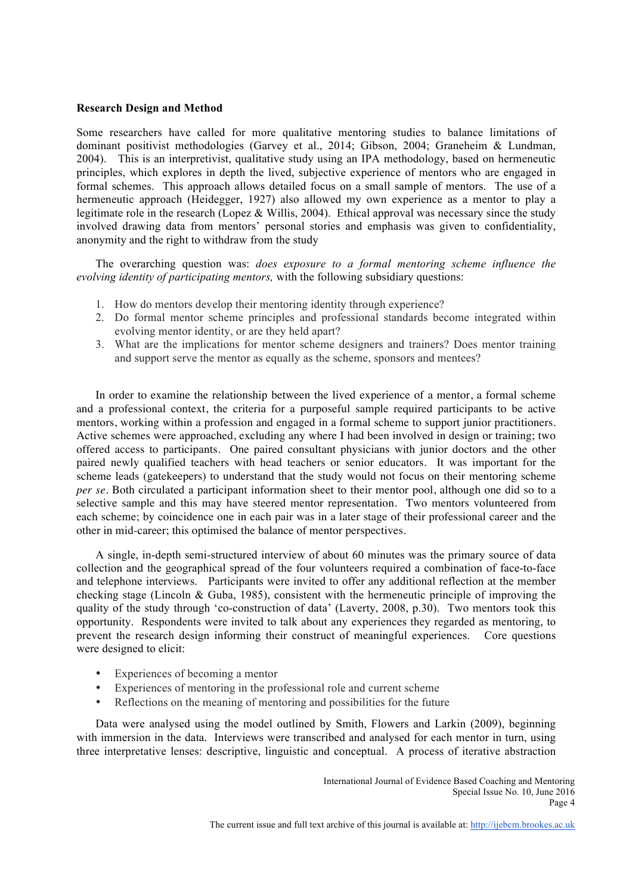# **Research Design and Method**

Some researchers have called for more qualitative mentoring studies to balance limitations of dominant positivist methodologies (Garvey et al., 2014; Gibson, 2004; Graneheim & Lundman, 2004). This is an interpretivist, qualitative study using an IPA methodology, based on hermeneutic principles, which explores in depth the lived, subjective experience of mentors who are engaged in formal schemes. This approach allows detailed focus on a small sample of mentors. The use of a hermeneutic approach (Heidegger, 1927) also allowed my own experience as a mentor to play a legitimate role in the research (Lopez & Willis, 2004). Ethical approval was necessary since the study involved drawing data from mentors' personal stories and emphasis was given to confidentiality, anonymity and the right to withdraw from the study

The overarching question was: *does exposure to a formal mentoring scheme influence the evolving identity of participating mentors,* with the following subsidiary questions:

- 1. How do mentors develop their mentoring identity through experience?
- 2. Do formal mentor scheme principles and professional standards become integrated within evolving mentor identity, or are they held apart?
- 3. What are the implications for mentor scheme designers and trainers? Does mentor training and support serve the mentor as equally as the scheme, sponsors and mentees?

In order to examine the relationship between the lived experience of a mentor, a formal scheme and a professional context, the criteria for a purposeful sample required participants to be active mentors, working within a profession and engaged in a formal scheme to support junior practitioners. Active schemes were approached, excluding any where I had been involved in design or training; two offered access to participants. One paired consultant physicians with junior doctors and the other paired newly qualified teachers with head teachers or senior educators. It was important for the scheme leads (gatekeepers) to understand that the study would not focus on their mentoring scheme *per se*. Both circulated a participant information sheet to their mentor pool, although one did so to a selective sample and this may have steered mentor representation. Two mentors volunteered from each scheme; by coincidence one in each pair was in a later stage of their professional career and the other in mid-career; this optimised the balance of mentor perspectives.

A single, in-depth semi-structured interview of about 60 minutes was the primary source of data collection and the geographical spread of the four volunteers required a combination of face-to-face and telephone interviews. Participants were invited to offer any additional reflection at the member checking stage (Lincoln & Guba, 1985), consistent with the hermeneutic principle of improving the quality of the study through 'co-construction of data' (Laverty, 2008, p.30). Two mentors took this opportunity. Respondents were invited to talk about any experiences they regarded as mentoring, to prevent the research design informing their construct of meaningful experiences. Core questions were designed to elicit:

- Experiences of becoming a mentor
- Experiences of mentoring in the professional role and current scheme
- Reflections on the meaning of mentoring and possibilities for the future

Data were analysed using the model outlined by Smith, Flowers and Larkin (2009), beginning with immersion in the data. Interviews were transcribed and analysed for each mentor in turn, using three interpretative lenses: descriptive, linguistic and conceptual. A process of iterative abstraction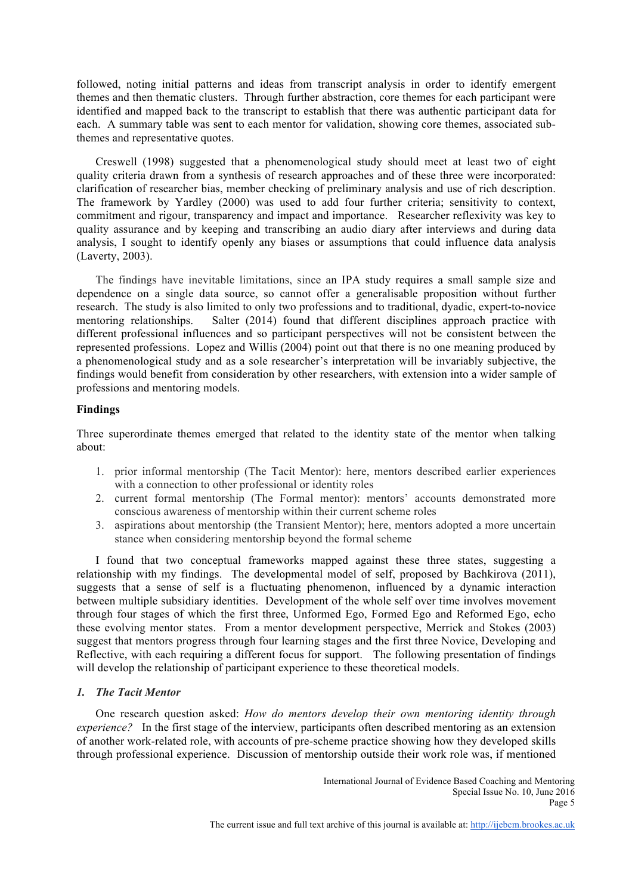followed, noting initial patterns and ideas from transcript analysis in order to identify emergent themes and then thematic clusters. Through further abstraction, core themes for each participant were identified and mapped back to the transcript to establish that there was authentic participant data for each. A summary table was sent to each mentor for validation, showing core themes, associated subthemes and representative quotes.

Creswell (1998) suggested that a phenomenological study should meet at least two of eight quality criteria drawn from a synthesis of research approaches and of these three were incorporated: clarification of researcher bias, member checking of preliminary analysis and use of rich description. The framework by Yardley (2000) was used to add four further criteria; sensitivity to context, commitment and rigour, transparency and impact and importance. Researcher reflexivity was key to quality assurance and by keeping and transcribing an audio diary after interviews and during data analysis, I sought to identify openly any biases or assumptions that could influence data analysis (Laverty, 2003).

The findings have inevitable limitations, since an IPA study requires a small sample size and dependence on a single data source, so cannot offer a generalisable proposition without further research. The study is also limited to only two professions and to traditional, dyadic, expert-to-novice mentoring relationships. Salter (2014) found that different disciplines approach practice with different professional influences and so participant perspectives will not be consistent between the represented professions. Lopez and Willis (2004) point out that there is no one meaning produced by a phenomenological study and as a sole researcher's interpretation will be invariably subjective, the findings would benefit from consideration by other researchers, with extension into a wider sample of professions and mentoring models.

# **Findings**

Three superordinate themes emerged that related to the identity state of the mentor when talking about:

- 1. prior informal mentorship (The Tacit Mentor): here, mentors described earlier experiences with a connection to other professional or identity roles
- 2. current formal mentorship (The Formal mentor): mentors' accounts demonstrated more conscious awareness of mentorship within their current scheme roles
- 3. aspirations about mentorship (the Transient Mentor); here, mentors adopted a more uncertain stance when considering mentorship beyond the formal scheme

I found that two conceptual frameworks mapped against these three states, suggesting a relationship with my findings. The developmental model of self, proposed by Bachkirova (2011), suggests that a sense of self is a fluctuating phenomenon, influenced by a dynamic interaction between multiple subsidiary identities. Development of the whole self over time involves movement through four stages of which the first three, Unformed Ego, Formed Ego and Reformed Ego, echo these evolving mentor states. From a mentor development perspective, Merrick and Stokes (2003) suggest that mentors progress through four learning stages and the first three Novice, Developing and Reflective, with each requiring a different focus for support. The following presentation of findings will develop the relationship of participant experience to these theoretical models.

# *1. The Tacit Mentor*

One research question asked: *How do mentors develop their own mentoring identity through experience?* In the first stage of the interview, participants often described mentoring as an extension of another work-related role, with accounts of pre-scheme practice showing how they developed skills through professional experience. Discussion of mentorship outside their work role was, if mentioned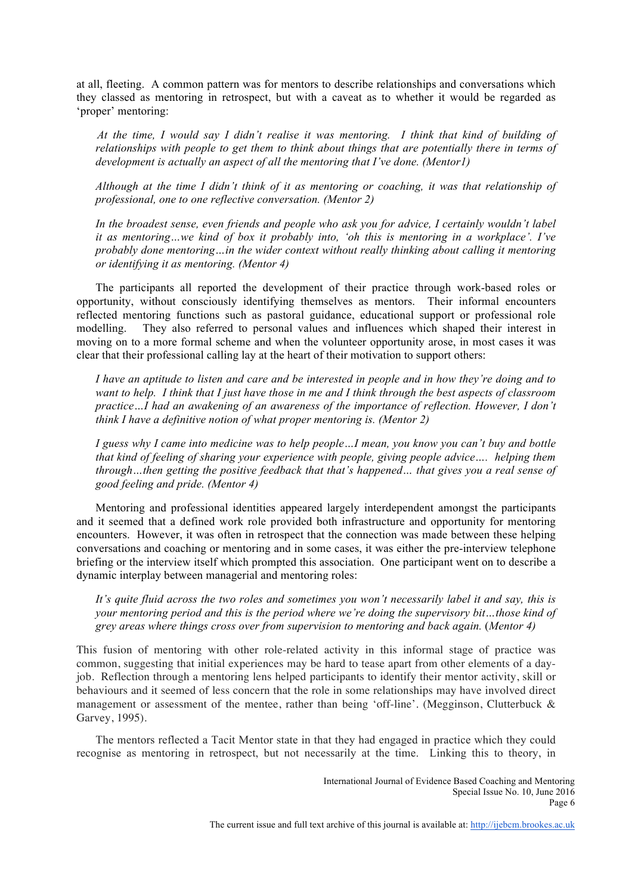at all, fleeting. A common pattern was for mentors to describe relationships and conversations which they classed as mentoring in retrospect, but with a caveat as to whether it would be regarded as 'proper' mentoring:

*At the time, I would say I didn't realise it was mentoring. I think that kind of building of relationships with people to get them to think about things that are potentially there in terms of development is actually an aspect of all the mentoring that I've done. (Mentor1)*

*Although at the time I didn't think of it as mentoring or coaching, it was that relationship of professional, one to one reflective conversation. (Mentor 2)*

*In the broadest sense, even friends and people who ask you for advice, I certainly wouldn't label it as mentoring…we kind of box it probably into, 'oh this is mentoring in a workplace'. I've probably done mentoring…in the wider context without really thinking about calling it mentoring or identifying it as mentoring. (Mentor 4)*

The participants all reported the development of their practice through work-based roles or opportunity, without consciously identifying themselves as mentors. Their informal encounters reflected mentoring functions such as pastoral guidance, educational support or professional role modelling. They also referred to personal values and influences which shaped their interest in moving on to a more formal scheme and when the volunteer opportunity arose, in most cases it was clear that their professional calling lay at the heart of their motivation to support others:

*I have an aptitude to listen and care and be interested in people and in how they're doing and to want to help. I think that I just have those in me and I think through the best aspects of classroom practice…I had an awakening of an awareness of the importance of reflection. However, I don't think I have a definitive notion of what proper mentoring is. (Mentor 2)*

*I guess why I came into medicine was to help people…I mean, you know you can't buy and bottle that kind of feeling of sharing your experience with people, giving people advice…. helping them through…then getting the positive feedback that that's happened… that gives you a real sense of good feeling and pride. (Mentor 4)* 

Mentoring and professional identities appeared largely interdependent amongst the participants and it seemed that a defined work role provided both infrastructure and opportunity for mentoring encounters. However, it was often in retrospect that the connection was made between these helping conversations and coaching or mentoring and in some cases, it was either the pre-interview telephone briefing or the interview itself which prompted this association. One participant went on to describe a dynamic interplay between managerial and mentoring roles:

*It's quite fluid across the two roles and sometimes you won't necessarily label it and say, this is your mentoring period and this is the period where we're doing the supervisory bit…those kind of grey areas where things cross over from supervision to mentoring and back again.* (*Mentor 4)*

This fusion of mentoring with other role-related activity in this informal stage of practice was common, suggesting that initial experiences may be hard to tease apart from other elements of a dayjob. Reflection through a mentoring lens helped participants to identify their mentor activity, skill or behaviours and it seemed of less concern that the role in some relationships may have involved direct management or assessment of the mentee, rather than being 'off-line'. (Megginson, Clutterbuck & Garvey, 1995).

The mentors reflected a Tacit Mentor state in that they had engaged in practice which they could recognise as mentoring in retrospect, but not necessarily at the time. Linking this to theory, in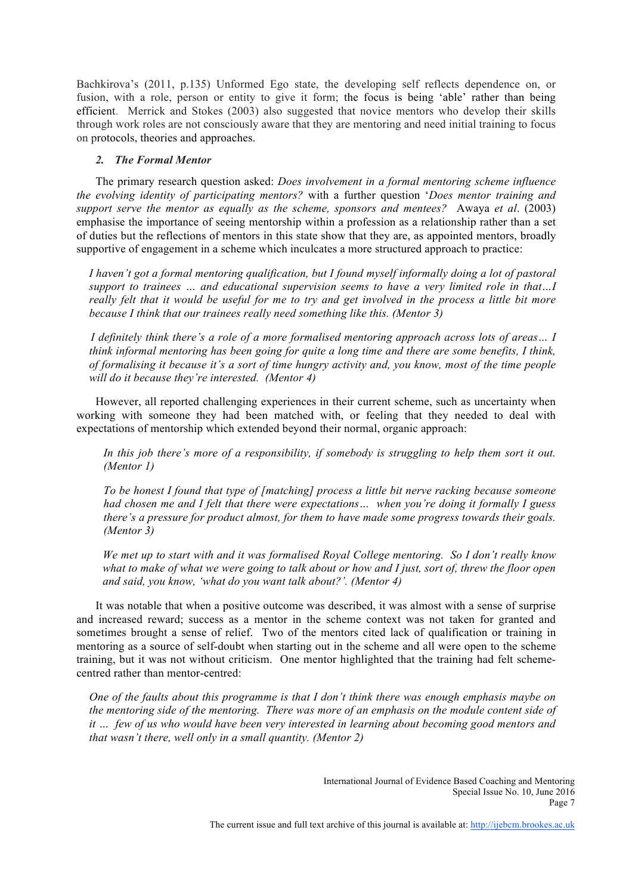Bachkirova's (2011, p.135) Unformed Ego state, the developing self reflects dependence on, or fusion, with a role, person or entity to give it form; the focus is being 'able' rather than being efficient. Merrick and Stokes (2003) also suggested that novice mentors who develop their skills through work roles are not consciously aware that they are mentoring and need initial training to focus on protocols, theories and approaches.

# *2. The Formal Mentor*

The primary research question asked: *Does involvement in a formal mentoring scheme influence the evolving identity of participating mentors?* with a further question '*Does mentor training and support serve the mentor as equally as the scheme, sponsors and mentees?* Awaya *et al*. (2003) emphasise the importance of seeing mentorship within a profession as a relationship rather than a set of duties but the reflections of mentors in this state show that they are, as appointed mentors, broadly supportive of engagement in a scheme which inculcates a more structured approach to practice:

*I haven't got a formal mentoring qualification, but I found myself informally doing a lot of pastoral support to trainees … and educational supervision seems to have a very limited role in that…I really felt that it would be useful for me to try and get involved in the process a little bit more because I think that our trainees really need something like this. (Mentor 3)*

*I definitely think there's a role of a more formalised mentoring approach across lots of areas… I think informal mentoring has been going for quite a long time and there are some benefits, I think, of formalising it because it's a sort of time hungry activity and, you know, most of the time people will do it because they're interested. (Mentor 4)*

However, all reported challenging experiences in their current scheme, such as uncertainty when working with someone they had been matched with, or feeling that they needed to deal with expectations of mentorship which extended beyond their normal, organic approach:

*In this job there's more of a responsibility, if somebody is struggling to help them sort it out. (Mentor 1)*

*To be honest I found that type of [matching] process a little bit nerve racking because someone had chosen me and I felt that there were expectations… when you're doing it formally I guess there's a pressure for product almost, for them to have made some progress towards their goals. (Mentor 3)*

*We met up to start with and it was formalised Royal College mentoring. So I don't really know what to make of what we were going to talk about or how and I just, sort of, threw the floor open and said, you know, 'what do you want talk about?'. (Mentor 4)*

It was notable that when a positive outcome was described, it was almost with a sense of surprise and increased reward; success as a mentor in the scheme context was not taken for granted and sometimes brought a sense of relief. Two of the mentors cited lack of qualification or training in mentoring as a source of self-doubt when starting out in the scheme and all were open to the scheme training, but it was not without criticism. One mentor highlighted that the training had felt schemecentred rather than mentor-centred:

*One of the faults about this programme is that I don't think there was enough emphasis maybe on the mentoring side of the mentoring. There was more of an emphasis on the module content side of it … few of us who would have been very interested in learning about becoming good mentors and that wasn't there, well only in a small quantity. (Mentor 2)*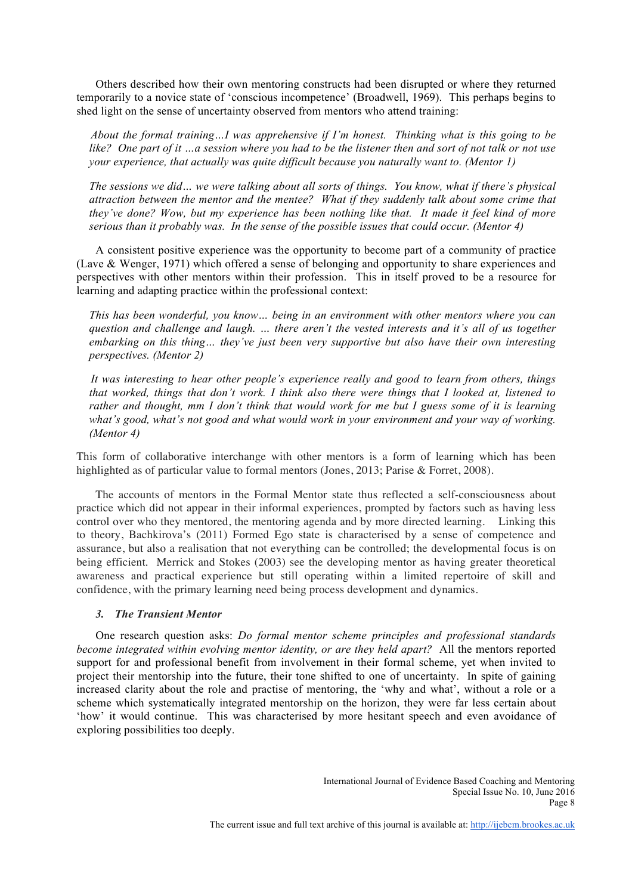Others described how their own mentoring constructs had been disrupted or where they returned temporarily to a novice state of 'conscious incompetence' (Broadwell, 1969). This perhaps begins to shed light on the sense of uncertainty observed from mentors who attend training:

*About the formal training…I was apprehensive if I'm honest. Thinking what is this going to be like? One part of it …a session where you had to be the listener then and sort of not talk or not use your experience, that actually was quite difficult because you naturally want to. (Mentor 1)*

*The sessions we did… we were talking about all sorts of things. You know, what if there's physical attraction between the mentor and the mentee? What if they suddenly talk about some crime that they've done? Wow, but my experience has been nothing like that. It made it feel kind of more serious than it probably was. In the sense of the possible issues that could occur. (Mentor 4)*

A consistent positive experience was the opportunity to become part of a community of practice (Lave & Wenger, 1971) which offered a sense of belonging and opportunity to share experiences and perspectives with other mentors within their profession. This in itself proved to be a resource for learning and adapting practice within the professional context:

*This has been wonderful, you know… being in an environment with other mentors where you can question and challenge and laugh. … there aren't the vested interests and it's all of us together embarking on this thing… they've just been very supportive but also have their own interesting perspectives. (Mentor 2)*

*It was interesting to hear other people's experience really and good to learn from others, things that worked, things that don't work. I think also there were things that I looked at, listened to rather and thought, mm I don't think that would work for me but I guess some of it is learning what's good, what's not good and what would work in your environment and your way of working. (Mentor 4)*

This form of collaborative interchange with other mentors is a form of learning which has been highlighted as of particular value to formal mentors (Jones, 2013; Parise & Forret, 2008).

The accounts of mentors in the Formal Mentor state thus reflected a self-consciousness about practice which did not appear in their informal experiences, prompted by factors such as having less control over who they mentored, the mentoring agenda and by more directed learning. Linking this to theory, Bachkirova's (2011) Formed Ego state is characterised by a sense of competence and assurance, but also a realisation that not everything can be controlled; the developmental focus is on being efficient. Merrick and Stokes (2003) see the developing mentor as having greater theoretical awareness and practical experience but still operating within a limited repertoire of skill and confidence, with the primary learning need being process development and dynamics.

# *3. The Transient Mentor*

One research question asks: *Do formal mentor scheme principles and professional standards become integrated within evolving mentor identity, or are they held apart?* All the mentors reported support for and professional benefit from involvement in their formal scheme, yet when invited to project their mentorship into the future, their tone shifted to one of uncertainty. In spite of gaining increased clarity about the role and practise of mentoring, the 'why and what', without a role or a scheme which systematically integrated mentorship on the horizon, they were far less certain about 'how' it would continue. This was characterised by more hesitant speech and even avoidance of exploring possibilities too deeply.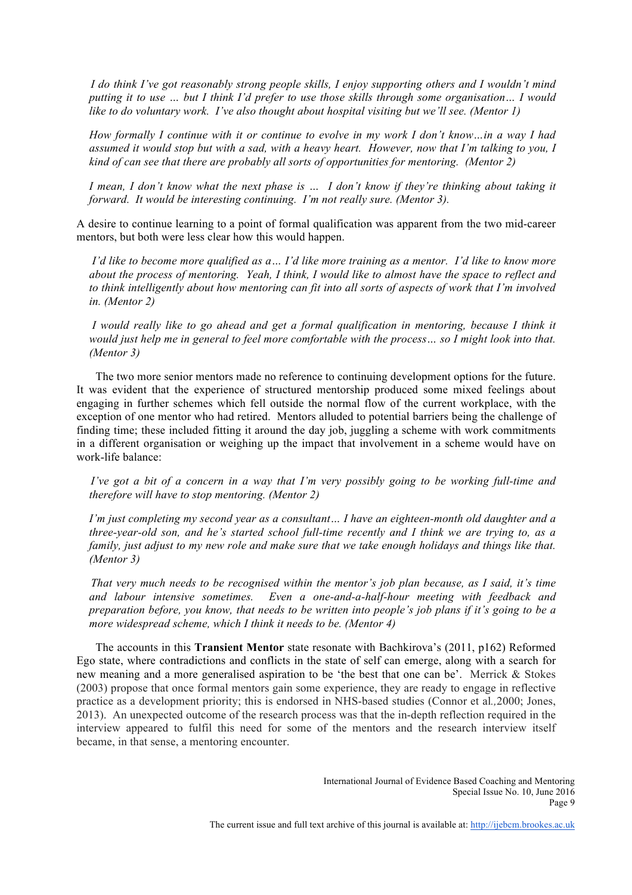*I do think I've got reasonably strong people skills, I enjoy supporting others and I wouldn't mind putting it to use … but I think I'd prefer to use those skills through some organisation… I would like to do voluntary work. I've also thought about hospital visiting but we'll see. (Mentor 1)*

*How formally I continue with it or continue to evolve in my work I don't know…in a way I had assumed it would stop but with a sad, with a heavy heart. However, now that I'm talking to you, I kind of can see that there are probably all sorts of opportunities for mentoring. (Mentor 2)*

*I mean, I don't know what the next phase is … I don't know if they're thinking about taking it forward. It would be interesting continuing. I'm not really sure. (Mentor 3).* 

A desire to continue learning to a point of formal qualification was apparent from the two mid-career mentors, but both were less clear how this would happen.

*I'd like to become more qualified as a… I'd like more training as a mentor. I'd like to know more about the process of mentoring. Yeah, I think, I would like to almost have the space to reflect and to think intelligently about how mentoring can fit into all sorts of aspects of work that I'm involved in. (Mentor 2)*

*I would really like to go ahead and get a formal qualification in mentoring, because I think it would just help me in general to feel more comfortable with the process… so I might look into that. (Mentor 3)*

The two more senior mentors made no reference to continuing development options for the future. It was evident that the experience of structured mentorship produced some mixed feelings about engaging in further schemes which fell outside the normal flow of the current workplace, with the exception of one mentor who had retired. Mentors alluded to potential barriers being the challenge of finding time; these included fitting it around the day job, juggling a scheme with work commitments in a different organisation or weighing up the impact that involvement in a scheme would have on work-life balance:

*I've got a bit of a concern in a way that I'm very possibly going to be working full-time and therefore will have to stop mentoring. (Mentor 2)*

*I'm just completing my second year as a consultant… I have an eighteen-month old daughter and a three-year-old son, and he's started school full-time recently and I think we are trying to, as a family, just adjust to my new role and make sure that we take enough holidays and things like that. (Mentor 3)*

*That very much needs to be recognised within the mentor's job plan because, as I said, it's time and labour intensive sometimes. Even a one-and-a-half-hour meeting with feedback and preparation before, you know, that needs to be written into people's job plans if it's going to be a more widespread scheme, which I think it needs to be. (Mentor 4)*

The accounts in this **Transient Mentor** state resonate with Bachkirova's (2011, p162) Reformed Ego state, where contradictions and conflicts in the state of self can emerge, along with a search for new meaning and a more generalised aspiration to be 'the best that one can be'. Merrick & Stokes (2003) propose that once formal mentors gain some experience, they are ready to engage in reflective practice as a development priority; this is endorsed in NHS-based studies (Connor et al*.,*2000; Jones, 2013). An unexpected outcome of the research process was that the in-depth reflection required in the interview appeared to fulfil this need for some of the mentors and the research interview itself became, in that sense, a mentoring encounter.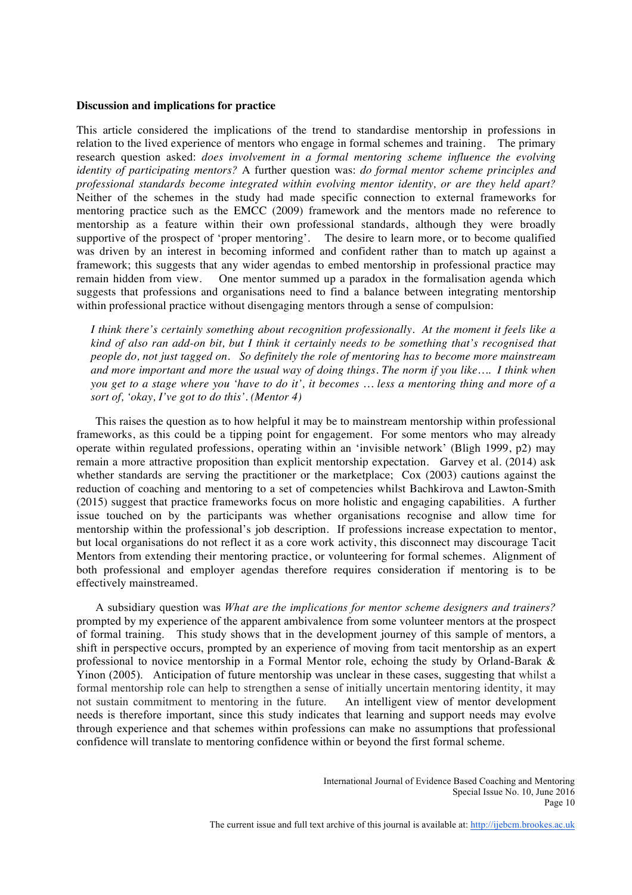#### **Discussion and implications for practice**

This article considered the implications of the trend to standardise mentorship in professions in relation to the lived experience of mentors who engage in formal schemes and training. The primary research question asked: *does involvement in a formal mentoring scheme influence the evolving identity of participating mentors?* A further question was: *do formal mentor scheme principles and professional standards become integrated within evolving mentor identity, or are they held apart?*  Neither of the schemes in the study had made specific connection to external frameworks for mentoring practice such as the EMCC (2009) framework and the mentors made no reference to mentorship as a feature within their own professional standards, although they were broadly supportive of the prospect of 'proper mentoring'. The desire to learn more, or to become qualified was driven by an interest in becoming informed and confident rather than to match up against a framework; this suggests that any wider agendas to embed mentorship in professional practice may remain hidden from view. One mentor summed up a paradox in the formalisation agenda which suggests that professions and organisations need to find a balance between integrating mentorship within professional practice without disengaging mentors through a sense of compulsion:

*I think there's certainly something about recognition professionally. At the moment it feels like a kind of also ran add-on bit, but I think it certainly needs to be something that's recognised that people do, not just tagged on. So definitely the role of mentoring has to become more mainstream and more important and more the usual way of doing things. The norm if you like…. I think when you get to a stage where you 'have to do it', it becomes … less a mentoring thing and more of a sort of, 'okay, I've got to do this'. (Mentor 4)*

This raises the question as to how helpful it may be to mainstream mentorship within professional frameworks, as this could be a tipping point for engagement. For some mentors who may already operate within regulated professions, operating within an 'invisible network' (Bligh 1999, p2) may remain a more attractive proposition than explicit mentorship expectation. Garvey et al. (2014) ask whether standards are serving the practitioner or the marketplace; Cox (2003) cautions against the reduction of coaching and mentoring to a set of competencies whilst Bachkirova and Lawton-Smith (2015) suggest that practice frameworks focus on more holistic and engaging capabilities. A further issue touched on by the participants was whether organisations recognise and allow time for mentorship within the professional's job description. If professions increase expectation to mentor, but local organisations do not reflect it as a core work activity, this disconnect may discourage Tacit Mentors from extending their mentoring practice, or volunteering for formal schemes. Alignment of both professional and employer agendas therefore requires consideration if mentoring is to be effectively mainstreamed.

A subsidiary question was *What are the implications for mentor scheme designers and trainers?* prompted by my experience of the apparent ambivalence from some volunteer mentors at the prospect of formal training. This study shows that in the development journey of this sample of mentors, a shift in perspective occurs, prompted by an experience of moving from tacit mentorship as an expert professional to novice mentorship in a Formal Mentor role, echoing the study by Orland-Barak & Yinon (2005). Anticipation of future mentorship was unclear in these cases, suggesting that whilst a formal mentorship role can help to strengthen a sense of initially uncertain mentoring identity, it may not sustain commitment to mentoring in the future. An intelligent view of mentor development needs is therefore important, since this study indicates that learning and support needs may evolve through experience and that schemes within professions can make no assumptions that professional confidence will translate to mentoring confidence within or beyond the first formal scheme.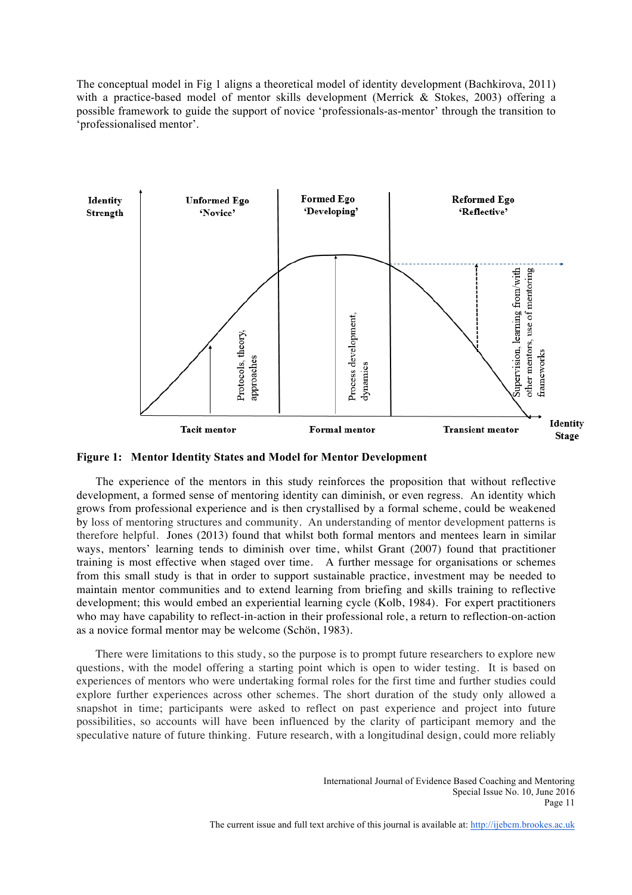The conceptual model in Fig 1 aligns a theoretical model of identity development (Bachkirova, 2011) with a practice-based model of mentor skills development (Merrick & Stokes, 2003) offering a possible framework to guide the support of novice 'professionals-as-mentor' through the transition to 'professionalised mentor'.





The experience of the mentors in this study reinforces the proposition that without reflective development, a formed sense of mentoring identity can diminish, or even regress. An identity which grows from professional experience and is then crystallised by a formal scheme, could be weakened by loss of mentoring structures and community. An understanding of mentor development patterns is therefore helpful. Jones (2013) found that whilst both formal mentors and mentees learn in similar ways, mentors' learning tends to diminish over time, whilst Grant (2007) found that practitioner training is most effective when staged over time. A further message for organisations or schemes from this small study is that in order to support sustainable practice, investment may be needed to maintain mentor communities and to extend learning from briefing and skills training to reflective development; this would embed an experiential learning cycle (Kolb, 1984). For expert practitioners who may have capability to reflect-in-action in their professional role, a return to reflection-on-action as a novice formal mentor may be welcome (Schön, 1983).

There were limitations to this study, so the purpose is to prompt future researchers to explore new questions, with the model offering a starting point which is open to wider testing. It is based on experiences of mentors who were undertaking formal roles for the first time and further studies could explore further experiences across other schemes. The short duration of the study only allowed a snapshot in time; participants were asked to reflect on past experience and project into future possibilities, so accounts will have been influenced by the clarity of participant memory and the speculative nature of future thinking. Future research, with a longitudinal design, could more reliably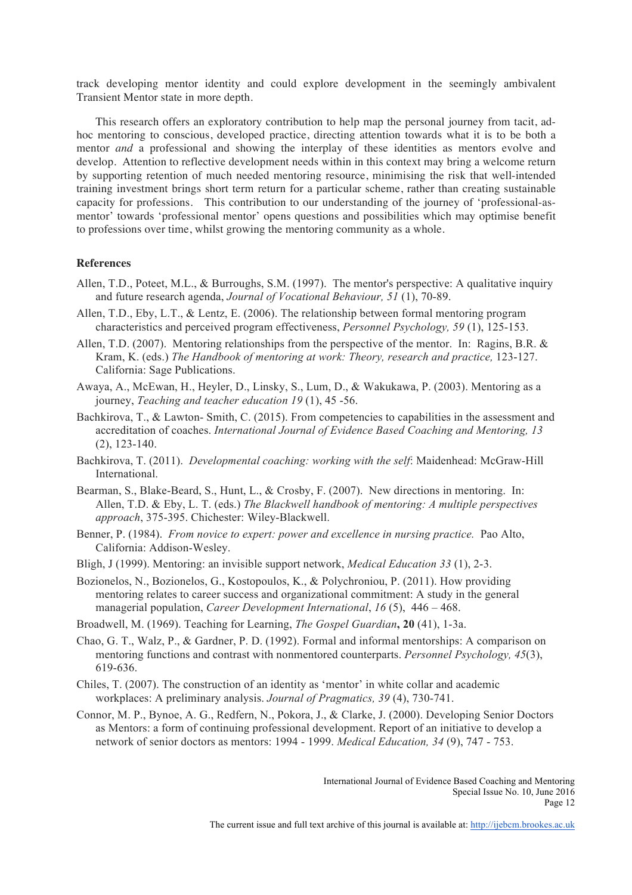track developing mentor identity and could explore development in the seemingly ambivalent Transient Mentor state in more depth.

This research offers an exploratory contribution to help map the personal journey from tacit, adhoc mentoring to conscious, developed practice, directing attention towards what it is to be both a mentor *and* a professional and showing the interplay of these identities as mentors evolve and develop. Attention to reflective development needs within in this context may bring a welcome return by supporting retention of much needed mentoring resource, minimising the risk that well-intended training investment brings short term return for a particular scheme, rather than creating sustainable capacity for professions. This contribution to our understanding of the journey of 'professional-asmentor' towards 'professional mentor' opens questions and possibilities which may optimise benefit to professions over time, whilst growing the mentoring community as a whole.

#### **References**

- Allen, T.D., Poteet, M.L., & Burroughs, S.M. (1997). The mentor's perspective: A qualitative inquiry and future research agenda, *Journal of Vocational Behaviour, 51* (1), 70-89.
- Allen, T.D., Eby, L.T., & Lentz, E. (2006). The relationship between formal mentoring program characteristics and perceived program effectiveness, *Personnel Psychology, 59* (1), 125-153.
- Allen, T.D. (2007). Mentoring relationships from the perspective of the mentor. In: Ragins, B.R. & Kram, K. (eds.) *The Handbook of mentoring at work: Theory, research and practice,* 123-127. California: Sage Publications.
- Awaya, A., McEwan, H., Heyler, D., Linsky, S., Lum, D., & Wakukawa, P. (2003). Mentoring as a journey, *Teaching and teacher education 19* (1), 45 -56.
- Bachkirova, T., & Lawton- Smith, C. (2015). From competencies to capabilities in the assessment and accreditation of coaches. *International Journal of Evidence Based Coaching and Mentoring, 13* (2), 123-140.
- Bachkirova, T. (2011). *Developmental coaching: working with the self*: Maidenhead: McGraw-Hill International.
- Bearman, S., Blake-Beard, S., Hunt, L., & Crosby, F. (2007). New directions in mentoring. In: Allen, T.D. & Eby, L. T. (eds.) *The Blackwell handbook of mentoring: A multiple perspectives approach*, 375-395. Chichester: Wiley-Blackwell.
- Benner, P. (1984). *From novice to expert: power and excellence in nursing practice.* Pao Alto, California: Addison-Wesley.
- Bligh, J (1999). Mentoring: an invisible support network, *Medical Education 33* (1), 2-3.
- Bozionelos, N., Bozionelos, G., Kostopoulos, K., & Polychroniou, P. (2011). How providing mentoring relates to career success and organizational commitment: A study in the general managerial population, *Career Development International*, *16* (5), 446 – 468.
- Broadwell, M. (1969). Teaching for Learning, *The Gospel Guardian***, 20** (41), 1-3a.
- Chao, G. T., Walz, P., & Gardner, P. D. (1992). Formal and informal mentorships: A comparison on mentoring functions and contrast with nonmentored counterparts. *Personnel Psychology, 45*(3), 619-636.
- Chiles, T. (2007). The construction of an identity as 'mentor' in white collar and academic workplaces: A preliminary analysis. *Journal of Pragmatics, 39* (4), 730-741.
- Connor, M. P., Bynoe, A. G., Redfern, N., Pokora, J., & Clarke, J. (2000). Developing Senior Doctors as Mentors: a form of continuing professional development. Report of an initiative to develop a network of senior doctors as mentors: 1994 - 1999. *Medical Education, 34* (9), 747 - 753.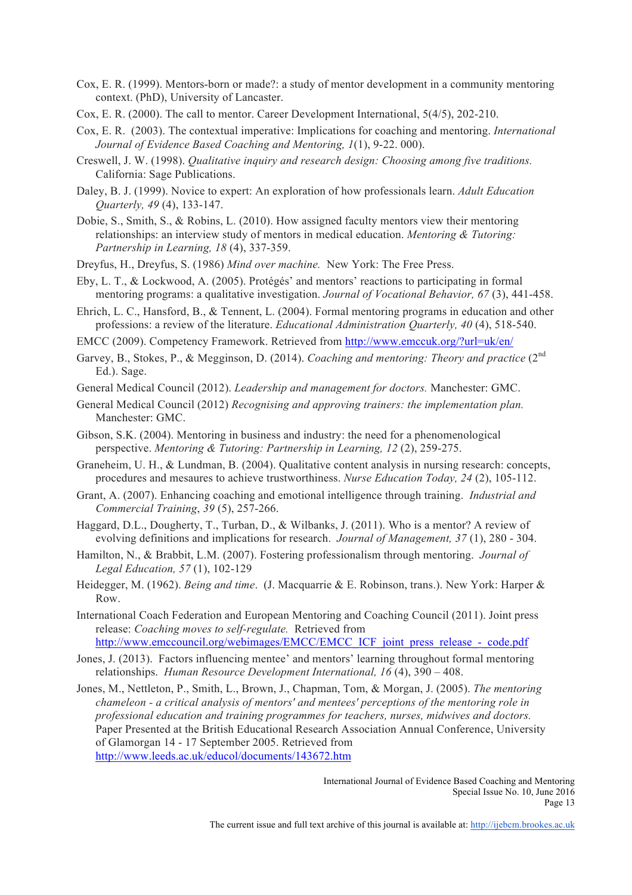- Cox, E. R. (1999). Mentors-born or made?: a study of mentor development in a community mentoring context. (PhD), University of Lancaster.
- Cox, E. R. (2000). The call to mentor. Career Development International, 5(4/5), 202-210.
- Cox, E. R. (2003). The contextual imperative: Implications for coaching and mentoring. *International Journal of Evidence Based Coaching and Mentoring, 1*(1), 9-22. 000).
- Creswell, J. W. (1998). *Qualitative inquiry and research design: Choosing among five traditions.* California: Sage Publications.
- Daley, B. J. (1999). Novice to expert: An exploration of how professionals learn. *Adult Education Quarterly, 49* (4), 133-147.
- Dobie, S., Smith, S., & Robins, L. (2010). How assigned faculty mentors view their mentoring relationships: an interview study of mentors in medical education. *Mentoring & Tutoring: Partnership in Learning, 18* (4), 337-359.
- Dreyfus, H., Dreyfus, S. (1986) *Mind over machine.* New York: The Free Press.
- Eby, L. T., & Lockwood, A. (2005). Protégés' and mentors' reactions to participating in formal mentoring programs: a qualitative investigation. *Journal of Vocational Behavior, 67* (3), 441-458.
- Ehrich, L. C., Hansford, B., & Tennent, L. (2004). Formal mentoring programs in education and other professions: a review of the literature. *Educational Administration Quarterly, 40* (4), 518-540.
- EMCC (2009). Competency Framework. Retrieved from http://www.emccuk.org/?url=uk/en/
- Garvey, B., Stokes, P., & Megginson, D. (2014). *Coaching and mentoring: Theory and practice* (2<sup>nd</sup>) Ed.). Sage.
- General Medical Council (2012). *Leadership and management for doctors.* Manchester: GMC.
- General Medical Council (2012) *Recognising and approving trainers: the implementation plan.*  Manchester: GMC.
- Gibson, S.K. (2004). Mentoring in business and industry: the need for a phenomenological perspective. *Mentoring & Tutoring: Partnership in Learning, 12* (2), 259-275.
- Graneheim, U. H., & Lundman, B. (2004). Qualitative content analysis in nursing research: concepts, procedures and mesaures to achieve trustworthiness. *Nurse Education Today, 24* (2), 105-112.
- Grant, A. (2007). Enhancing coaching and emotional intelligence through training. *Industrial and Commercial Training*, *39* (5), 257-266.
- Haggard, D.L., Dougherty, T., Turban, D., & Wilbanks, J. (2011). Who is a mentor? A review of evolving definitions and implications for research. *Journal of Management, 37* (1), 280 - 304.
- Hamilton, N., & Brabbit, L.M. (2007). Fostering professionalism through mentoring. *Journal of Legal Education, 57* (1), 102-129
- Heidegger, M. (1962). *Being and time*. (J. Macquarrie & E. Robinson, trans.). New York: Harper & Row.
- International Coach Federation and European Mentoring and Coaching Council (2011). Joint press release: *Coaching moves to self-regulate.* Retrieved from http://www.emccouncil.org/webimages/EMCC/EMCC\_ICF\_joint\_press\_release\_-\_code.pdf
- Jones, J. (2013). Factors influencing mentee' and mentors' learning throughout formal mentoring relationships. *Human Resource Development International, 16* (4), 390 – 408.
- Jones, M., Nettleton, P., Smith, L., Brown, J., Chapman, Tom, & Morgan, J. (2005). *The mentoring chameleon - a critical analysis of mentors' and mentees' perceptions of the mentoring role in professional education and training programmes for teachers, nurses, midwives and doctors.* Paper Presented at the British Educational Research Association Annual Conference, University of Glamorgan 14 - 17 September 2005. Retrieved from http://www.leeds.ac.uk/educol/documents/143672.htm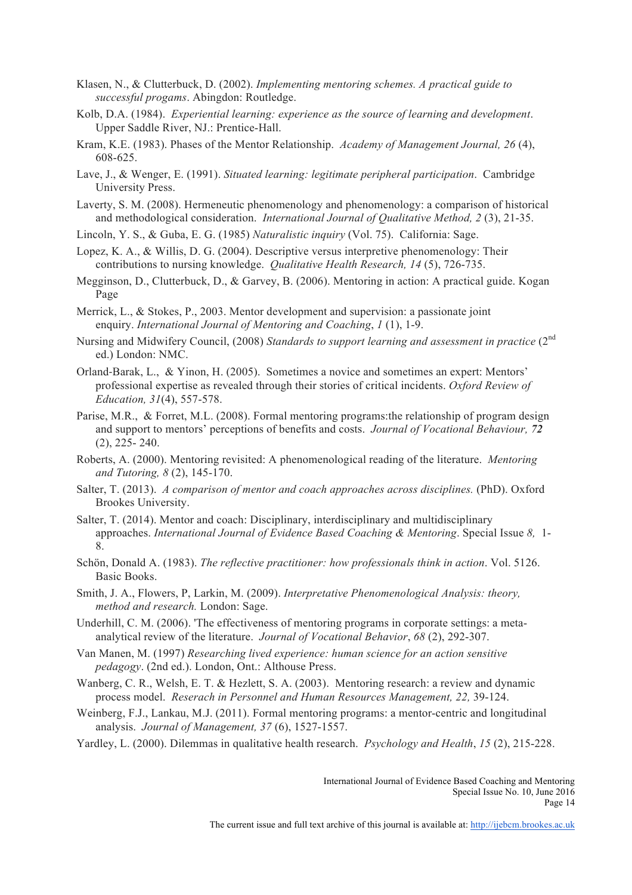- Klasen, N., & Clutterbuck, D. (2002). *Implementing mentoring schemes. A practical guide to successful progams*. Abingdon: Routledge.
- Kolb, D.A. (1984). *Experiential learning: experience as the source of learning and development*. Upper Saddle River, NJ.: Prentice-Hall.
- Kram, K.E. (1983). Phases of the Mentor Relationship. *Academy of Management Journal, 26* (4), 608-625.
- Lave, J., & Wenger, E. (1991). *Situated learning: legitimate peripheral participation*. Cambridge University Press.
- Laverty, S. M. (2008). Hermeneutic phenomenology and phenomenology: a comparison of historical and methodological consideration. *International Journal of Qualitative Method, 2* (3), 21-35.
- Lincoln, Y. S., & Guba, E. G. (1985) *Naturalistic inquiry* (Vol. 75). California: Sage.
- Lopez, K. A., & Willis, D. G. (2004). Descriptive versus interpretive phenomenology: Their contributions to nursing knowledge. *Qualitative Health Research, 14* (5), 726-735.
- Megginson, D., Clutterbuck, D., & Garvey, B. (2006). Mentoring in action: A practical guide. Kogan Page
- Merrick, L., & Stokes, P., 2003. Mentor development and supervision: a passionate joint enquiry. *International Journal of Mentoring and Coaching*, *1* (1), 1-9.
- Nursing and Midwifery Council, (2008) *Standards to support learning and assessment in practice* (2<sup>nd</sup> ed.) London: NMC.
- Orland-Barak, L., & Yinon, H. (2005). Sometimes a novice and sometimes an expert: Mentors' professional expertise as revealed through their stories of critical incidents. *Oxford Review of Education, 31*(4), 557-578.
- Parise, M.R., & Forret, M.L. (2008). Formal mentoring programs:the relationship of program design and support to mentors' perceptions of benefits and costs. *Journal of Vocational Behaviour, 72* (2), 225- 240.
- Roberts, A. (2000). Mentoring revisited: A phenomenological reading of the literature. *Mentoring and Tutoring, 8* (2), 145-170.
- Salter, T. (2013). *A comparison of mentor and coach approaches across disciplines.* (PhD). Oxford Brookes University.
- Salter, T. (2014). Mentor and coach: Disciplinary, interdisciplinary and multidisciplinary approaches. *International Journal of Evidence Based Coaching & Mentoring*. Special Issue *8,* 1- 8.
- Schön, Donald A. (1983). *The reflective practitioner: how professionals think in action*. Vol. 5126. Basic Books.
- Smith, J. A., Flowers, P, Larkin, M. (2009). *Interpretative Phenomenological Analysis: theory, method and research.* London: Sage.
- Underhill, C. M. (2006). 'The effectiveness of mentoring programs in corporate settings: a metaanalytical review of the literature. *Journal of Vocational Behavior*, *68* (2), 292-307.
- Van Manen, M. (1997) *Researching lived experience: human science for an action sensitive pedagogy*. (2nd ed.). London, Ont.: Althouse Press.
- Wanberg, C. R., Welsh, E. T. & Hezlett, S. A. (2003). Mentoring research: a review and dynamic process model. *Reserach in Personnel and Human Resources Management, 22,* 39-124.
- Weinberg, F.J., Lankau, M.J. (2011). Formal mentoring programs: a mentor-centric and longitudinal analysis. *Journal of Management, 37* (6), 1527-1557.
- Yardley, L. (2000). Dilemmas in qualitative health research. *Psychology and Health*, *15* (2), 215-228.